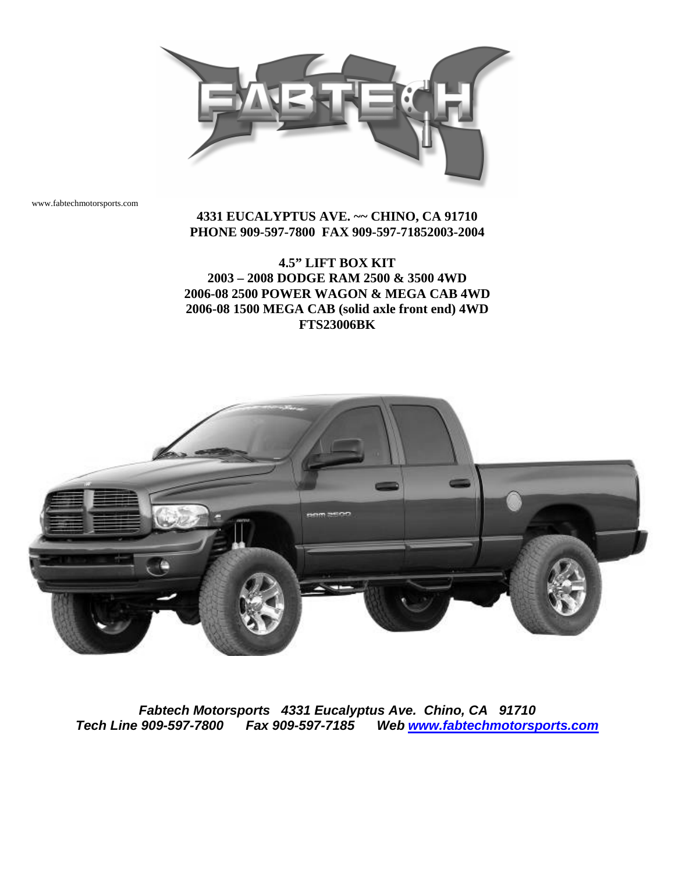

www.fabtechmotorsports.com

**4331 EUCALYPTUS AVE. ~~ CHINO, CA 91710 PHONE 909-597-7800 FAX 909-597-71852003-2004** 

**4.5" LIFT BOX KIT 2003 – 2008 DODGE RAM 2500 & 3500 4WD 2006-08 2500 POWER WAGON & MEGA CAB 4WD 2006-08 1500 MEGA CAB (solid axle front end) 4WD FTS23006BK** 



*Fabtech Motorsports 4331 Eucalyptus Ave. Chino, CA 91710*<br>Tech Line 909-597-7800 Fax 909-597-7185 Web www.fabtechmotorsp *Tech Line 909-597-7800 Fax 909-597-7185 Web [www.fabtechmotorsports.com](http://www.fabtechmotorsports.com/)*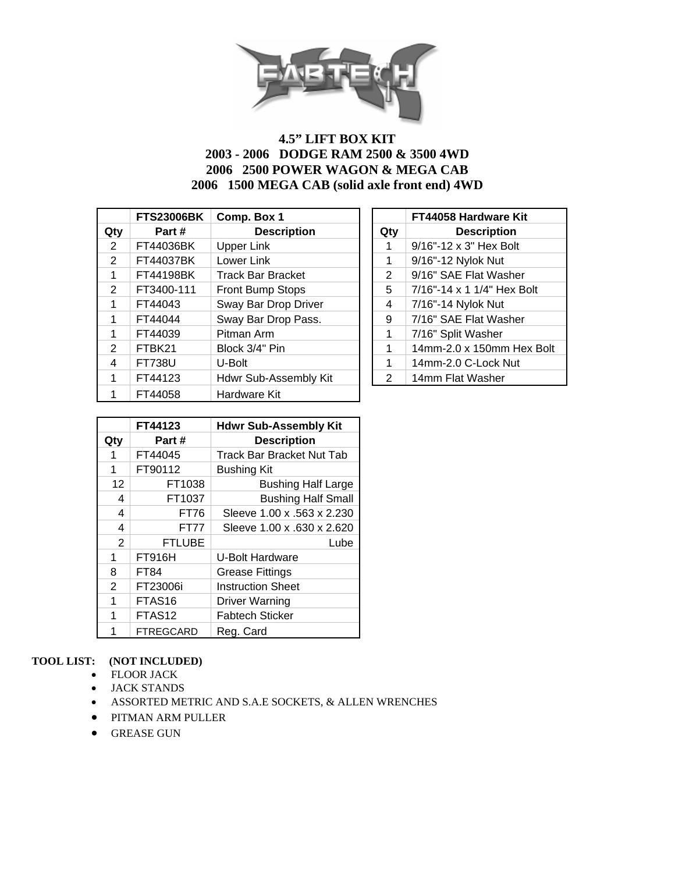

# **4.5" LIFT BOX KIT 2003 - 2006 DODGE RAM 2500 & 3500 4WD 2006 2500 POWER WAGON & MEGA CAB 2006 1500 MEGA CAB (solid axle front end) 4WD**

|     | <b>FTS23006BK</b> | Comp. Box 1              |               | FT44058 Hardware Kit            |
|-----|-------------------|--------------------------|---------------|---------------------------------|
| Qty | Part #            | <b>Description</b>       | Qty           | <b>Description</b>              |
| 2   | FT44036BK         | <b>Upper Link</b>        |               | $9/16" - 12 \times 3"$ Hex Bolt |
| 2   | FT44037BK         | Lower Link               | 1             | 9/16"-12 Nylok Nut              |
| 1   | FT44198BK         | <b>Track Bar Bracket</b> | 2             | 9/16" SAE Flat Washer           |
| 2   | FT3400-111        | Front Bump Stops         | 5             | 7/16"-14 x 1 1/4" Hex Bolt      |
| 1   | FT44043           | Sway Bar Drop Driver     | 4             | 7/16"-14 Nylok Nut              |
| 1   | FT44044           | Sway Bar Drop Pass.      | 9             | 7/16" SAE Flat Washer           |
| 1   | FT44039           | Pitman Arm               | 1             | 7/16" Split Washer              |
| 2   | FTBK21            | Block 3/4" Pin           | 1             | 14mm-2.0 x 150mm Hex Bolt       |
| 4   | <b>FT738U</b>     | U-Bolt                   |               | 14mm-2.0 C-Lock Nut             |
| 1   | FT44123           | Hdwr Sub-Assembly Kit    | $\mathcal{P}$ | 14mm Flat Washer                |
|     | FT44058           | Hardware Kit             |               |                                 |

|                | FT44058 Hardware Kit       |  |  |
|----------------|----------------------------|--|--|
| Qty            | <b>Description</b>         |  |  |
| 1              | 9/16"-12 x 3" Hex Bolt     |  |  |
| 1              | 9/16"-12 Nylok Nut         |  |  |
| 2              | 9/16" SAE Flat Washer      |  |  |
| 5              | 7/16"-14 x 1 1/4" Hex Bolt |  |  |
| 4              | 7/16"-14 Nylok Nut         |  |  |
| 9              | 7/16" SAE Flat Washer      |  |  |
| 1              | 7/16" Split Washer         |  |  |
| 1              | 14mm-2.0 x 150mm Hex Bolt  |  |  |
| 1              | 14mm-2.0 C-Lock Nut        |  |  |
| $\overline{2}$ | 14mm Flat Washer           |  |  |

|                | FT44123            | <b>Hdwr Sub-Assembly Kit</b>     |
|----------------|--------------------|----------------------------------|
| Qty            | Part #             | <b>Description</b>               |
| 1              | FT44045            | <b>Track Bar Bracket Nut Tab</b> |
| 1              | FT90112            | <b>Bushing Kit</b>               |
| 12             | FT1038             | <b>Bushing Half Large</b>        |
| 4              | FT1037             | <b>Bushing Half Small</b>        |
| 4              | FT76               | Sleeve 1.00 x .563 x 2.230       |
| 4              | FT77               | Sleeve 1.00 x .630 x 2.620       |
| $\overline{2}$ | <b>FTLUBE</b>      | Lube                             |
| 1              | FT916H             | U-Bolt Hardware                  |
| 8              | FT84               | <b>Grease Fittings</b>           |
| 2              | FT23006i           | <b>Instruction Sheet</b>         |
| 1              | FTAS <sub>16</sub> | Driver Warning                   |
| 1              | FTAS <sub>12</sub> | <b>Fabtech Sticker</b>           |
| 1              | <b>FTREGCARD</b>   | Reg. Card                        |

### **TOOL LIST: (NOT INCLUDED)**

- FLOOR JACK
- JACK STANDS
- ASSORTED METRIC AND S.A.E SOCKETS, & ALLEN WRENCHES
- **PITMAN ARM PULLER**
- **•** GREASE GUN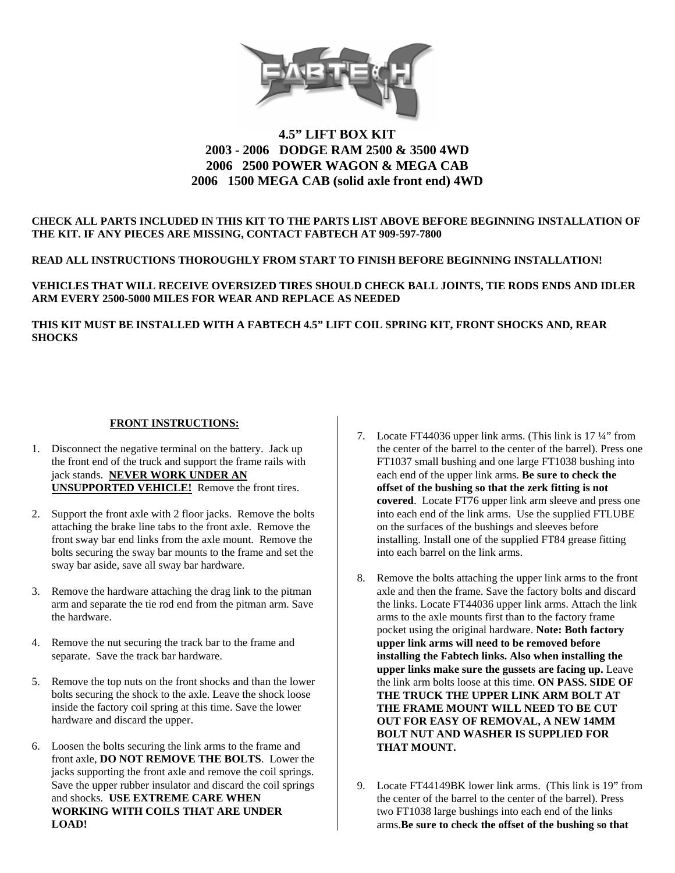

# **4.5" LIFT BOX KIT 2003 - 2006 DODGE RAM 2500 & 3500 4WD 2006 2500 POWER WAGON & MEGA CAB 2006 1500 MEGA CAB (solid axle front end) 4WD**

## **CHECK ALL PARTS INCLUDED IN THIS KIT TO THE PARTS LIST ABOVE BEFORE BEGINNING INSTALLATION OF THE KIT. IF ANY PIECES ARE MISSING, CONTACT FABTECH AT 909-597-7800**

#### **READ ALL INSTRUCTIONS THOROUGHLY FROM START TO FINISH BEFORE BEGINNING INSTALLATION!**

**VEHICLES THAT WILL RECEIVE OVERSIZED TIRES SHOULD CHECK BALL JOINTS, TIE RODS ENDS AND IDLER ARM EVERY 2500-5000 MILES FOR WEAR AND REPLACE AS NEEDED** 

**THIS KIT MUST BE INSTALLED WITH A FABTECH 4.5" LIFT COIL SPRING KIT, FRONT SHOCKS AND, REAR SHOCKS**

#### **FRONT INSTRUCTIONS:**

- 1. Disconnect the negative terminal on the battery. Jack up the front end of the truck and support the frame rails with jack stands. **NEVER WORK UNDER AN UNSUPPORTED VEHICLE!** Remove the front tires.
- 2. Support the front axle with 2 floor jacks. Remove the bolts attaching the brake line tabs to the front axle. Remove the front sway bar end links from the axle mount. Remove the bolts securing the sway bar mounts to the frame and set the sway bar aside, save all sway bar hardware.
- 3. Remove the hardware attaching the drag link to the pitman arm and separate the tie rod end from the pitman arm. Save the hardware.
- 4. Remove the nut securing the track bar to the frame and separate. Save the track bar hardware.
- 5. Remove the top nuts on the front shocks and than the lower bolts securing the shock to the axle. Leave the shock loose inside the factory coil spring at this time. Save the lower hardware and discard the upper.
- 6. Loosen the bolts securing the link arms to the frame and front axle, **DO NOT REMOVE THE BOLTS**. Lower the jacks supporting the front axle and remove the coil springs. Save the upper rubber insulator and discard the coil springs and shocks. **USE EXTREME CARE WHEN WORKING WITH COILS THAT ARE UNDER LOAD!**
- 7. Locate FT44036 upper link arms. (This link is 17 ¼" from the center of the barrel to the center of the barrel). Press one FT1037 small bushing and one large FT1038 bushing into each end of the upper link arms. **Be sure to check the offset of the bushing so that the zerk fitting is not covered**. Locate FT76 upper link arm sleeve and press one into each end of the link arms. Use the supplied FTLUBE on the surfaces of the bushings and sleeves before installing. Install one of the supplied FT84 grease fitting into each barrel on the link arms.
- 8. Remove the bolts attaching the upper link arms to the front axle and then the frame. Save the factory bolts and discard the links. Locate FT44036 upper link arms. Attach the link arms to the axle mounts first than to the factory frame pocket using the original hardware. **Note: Both factory upper link arms will need to be removed before installing the Fabtech links. Also when installing the upper links make sure the gussets are facing up.** Leave the link arm bolts loose at this time. **ON PASS. SIDE OF THE TRUCK THE UPPER LINK ARM BOLT AT THE FRAME MOUNT WILL NEED TO BE CUT OUT FOR EASY OF REMOVAL, A NEW 14MM BOLT NUT AND WASHER IS SUPPLIED FOR THAT MOUNT.**
- 9. Locate FT44149BK lower link arms. (This link is 19" from the center of the barrel to the center of the barrel). Press two FT1038 large bushings into each end of the links arms.**Be sure to check the offset of the bushing so that**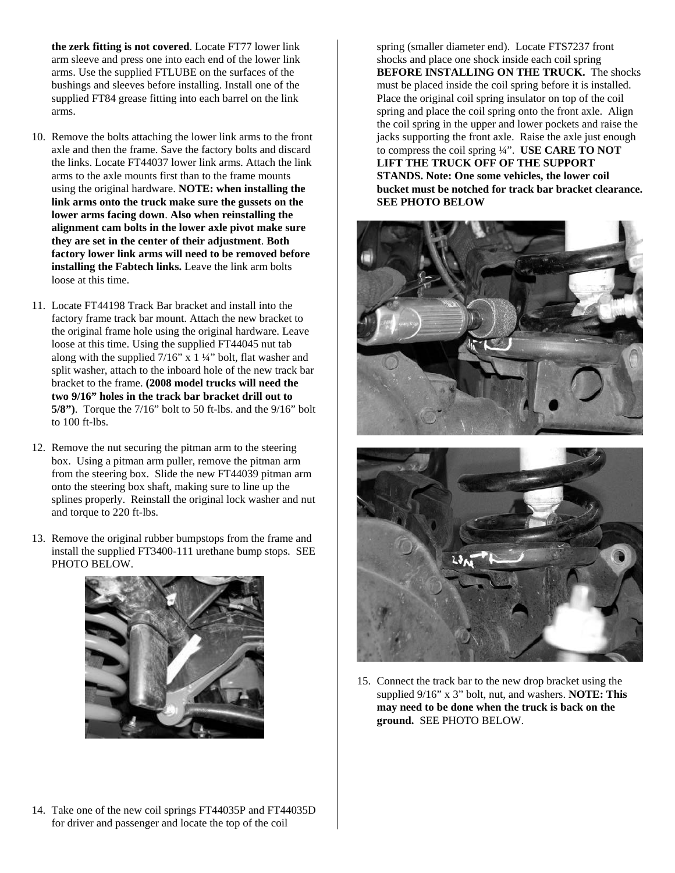**the zerk fitting is not covered**. Locate FT77 lower link arm sleeve and press one into each end of the lower link arms. Use the supplied FTLUBE on the surfaces of the bushings and sleeves before installing. Install one of the supplied FT84 grease fitting into each barrel on the link arms.

- 10. Remove the bolts attaching the lower link arms to the front axle and then the frame. Save the factory bolts and discard the links. Locate FT44037 lower link arms. Attach the link arms to the axle mounts first than to the frame mounts using the original hardware. **NOTE: when installing the link arms onto the truck make sure the gussets on the lower arms facing down**. **Also when reinstalling the alignment cam bolts in the lower axle pivot make sure they are set in the center of their adjustment**. **Both factory lower link arms will need to be removed before installing the Fabtech links.** Leave the link arm bolts loose at this time.
- 11. Locate FT44198 Track Bar bracket and install into the factory frame track bar mount. Attach the new bracket to the original frame hole using the original hardware. Leave loose at this time. Using the supplied FT44045 nut tab along with the supplied  $7/16$ " x  $1\frac{1}{4}$ " bolt, flat washer and split washer, attach to the inboard hole of the new track bar bracket to the frame. **(2008 model trucks will need the two 9/16" holes in the track bar bracket drill out to 5/8")**. Torque the 7/16" bolt to 50 ft-lbs. and the 9/16" bolt to 100 ft-lbs.
- 12. Remove the nut securing the pitman arm to the steering box. Using a pitman arm puller, remove the pitman arm from the steering box. Slide the new FT44039 pitman arm onto the steering box shaft, making sure to line up the splines properly. Reinstall the original lock washer and nut and torque to 220 ft-lbs.
- 13. Remove the original rubber bumpstops from the frame and install the supplied FT3400-111 urethane bump stops. SEE PHOTO BELOW.



14. Take one of the new coil springs FT44035P and FT44035D for driver and passenger and locate the top of the coil

spring (smaller diameter end). Locate FTS7237 front shocks and place one shock inside each coil spring **BEFORE INSTALLING ON THE TRUCK.** The shocks must be placed inside the coil spring before it is installed. Place the original coil spring insulator on top of the coil spring and place the coil spring onto the front axle. Align the coil spring in the upper and lower pockets and raise the jacks supporting the front axle. Raise the axle just enough to compress the coil spring ¼". **USE CARE TO NOT LIFT THE TRUCK OFF OF THE SUPPORT STANDS. Note: One some vehicles, the lower coil bucket must be notched for track bar bracket clearance. SEE PHOTO BELOW**





15. Connect the track bar to the new drop bracket using the supplied 9/16" x 3" bolt, nut, and washers. **NOTE: This may need to be done when the truck is back on the ground.** SEE PHOTO BELOW.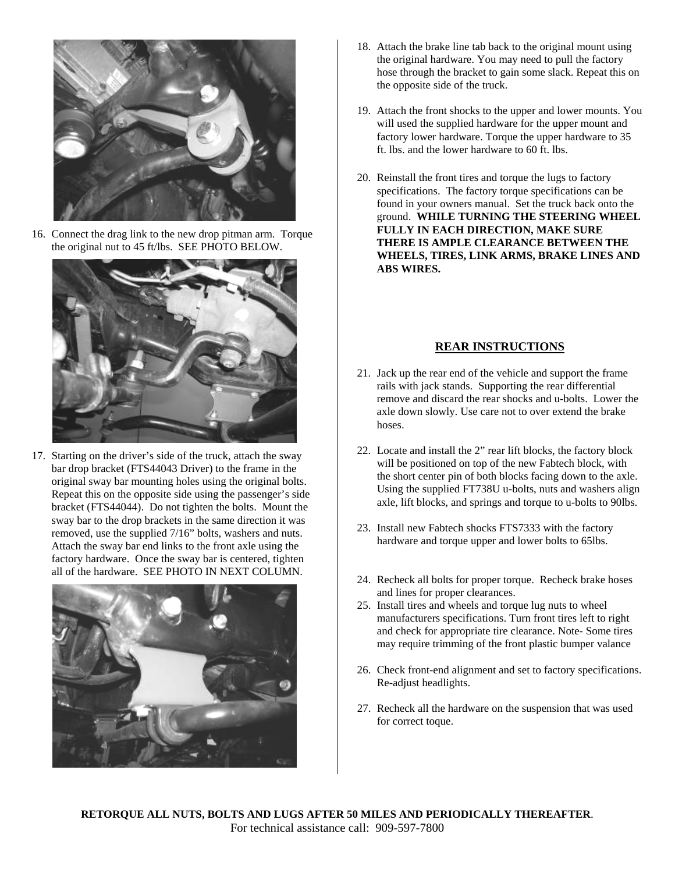

16. Connect the drag link to the new drop pitman arm. Torque the original nut to 45 ft/lbs. SEE PHOTO BELOW.



17. Starting on the driver's side of the truck, attach the sway bar drop bracket (FTS44043 Driver) to the frame in the original sway bar mounting holes using the original bolts. Repeat this on the opposite side using the passenger's side bracket (FTS44044). Do not tighten the bolts. Mount the sway bar to the drop brackets in the same direction it was removed, use the supplied 7/16" bolts, washers and nuts. Attach the sway bar end links to the front axle using the factory hardware. Once the sway bar is centered, tighten all of the hardware. SEE PHOTO IN NEXT COLUMN.



- 18. Attach the brake line tab back to the original mount using the original hardware. You may need to pull the factory hose through the bracket to gain some slack. Repeat this on the opposite side of the truck.
- 19. Attach the front shocks to the upper and lower mounts. You will used the supplied hardware for the upper mount and factory lower hardware. Torque the upper hardware to 35 ft. lbs. and the lower hardware to 60 ft. lbs.
- 20. Reinstall the front tires and torque the lugs to factory specifications. The factory torque specifications can be found in your owners manual. Set the truck back onto the ground. **WHILE TURNING THE STEERING WHEEL FULLY IN EACH DIRECTION, MAKE SURE THERE IS AMPLE CLEARANCE BETWEEN THE WHEELS, TIRES, LINK ARMS, BRAKE LINES AND ABS WIRES.**

# **REAR INSTRUCTIONS**

- 21. Jack up the rear end of the vehicle and support the frame rails with jack stands. Supporting the rear differential remove and discard the rear shocks and u-bolts. Lower the axle down slowly. Use care not to over extend the brake hoses.
- 22. Locate and install the 2" rear lift blocks, the factory block will be positioned on top of the new Fabtech block, with the short center pin of both blocks facing down to the axle. Using the supplied FT738U u-bolts, nuts and washers align axle, lift blocks, and springs and torque to u-bolts to 90lbs.
- 23. Install new Fabtech shocks FTS7333 with the factory hardware and torque upper and lower bolts to 65lbs.
- 24. Recheck all bolts for proper torque. Recheck brake hoses and lines for proper clearances.
- 25. Install tires and wheels and torque lug nuts to wheel manufacturers specifications. Turn front tires left to right and check for appropriate tire clearance. Note- Some tires may require trimming of the front plastic bumper valance
- 26. Check front-end alignment and set to factory specifications. Re-adjust headlights.
- 27. Recheck all the hardware on the suspension that was used for correct toque.

**RETORQUE ALL NUTS, BOLTS AND LUGS AFTER 50 MILES AND PERIODICALLY THEREAFTER**. For technical assistance call: 909-597-7800